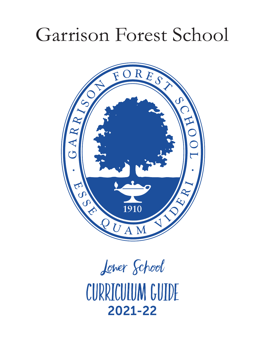# Garrison Forest School



2021-22 Lower School CURRICULUM GUIDE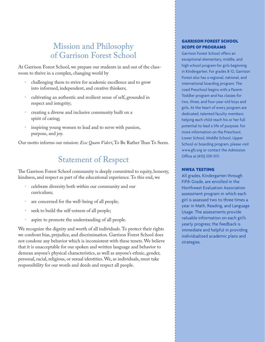### Mission and Philosophy of Garrison Forest School

At Garrison Forest School, we prepare our students in and out of the classroom to thrive in a complex, changing world by

- challenging them to strive for academic excellence and to grow into informed, independent, and creative thinkers;
- cultivating an authentic and resilient sense of self, grounded in respect and integrity;
- creating a diverse and inclusive community built on a spirit of caring;
- inspiring young women to lead and to serve with passion, purpose, and joy.

Our motto informs our mission: *Esse Quam Videri*, To Be Rather Than To Seem.

# Statement of Respect

The Garrison Forest School community is deeply committed to equity, honesty, kindness, and respect as part of the educational experience. To this end, we

- celebrate diversity both within our community and our curriculum;
- are concerned for the well-being of all people;
- seek to build the self-esteem of all people;
- aspire to promote the understanding of all people.

We recognize the dignity and worth of all individuals. To protect their rights we confront bias, prejudice, and discrimination. Garrison Forest School does not condone any behavior which is inconsistent with these tenets. We believe that it is unacceptable for our spoken and written language and behavior to demean anyone's physical characteristics, as well as anyone's ethnic, gender, personal, racial, religious, or sexual identities. We, as individuals, must take responsibility for our words and deeds and respect all people.

### GARRISON FOREST SCHOOL SCOPE OF PROGRAMS

Garrison Forest School offers an exceptional elementary, middle, and high school program for girls beginning in Kindergarten. For grades 8-12, Garrison Forest also has a regional, national, and international boarding program. The coed Preschool begins with a Parent-Toddler program and has classes for two, three, and four-year-old boys and girls. At the heart of every program are dedicated, talented faculty members helping each child reach his or her full potential to lead a life of purpose. For more information on the Preschool, Lower School, Middle School, Upper School or boarding program, please visit www.gfs.org or contact the Admission Office at (410) 559-3111.

### NWEA TESTING

All grades, Kindergarten through Fifth Grade, are enrolled in the Northwest Evaluation Association assessment program in which each girl is assessed two to three times a year in Math, Reading, and Language Usage. The assessments provide valuable information on each girl's yearly progress; the feedback is immediate and helpful in providing individualized academic plans and strategies.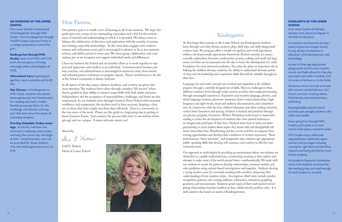### AN OVERVIEW OF THE LOWER **SCHOOL**

The Lower School is comprised of Kindergarten through Fifth Grade. From Kindergarten through Twelfth Grade, Garrison Forest is a college preparatory school for girls.

Grades: daily from 8:00 until 3:30 (with the exception of Friday mornings when school begins at 8:50).

### Kindergarten through Fifth

**Our Classes:** In Kindergarten to Fifth Grade, students are placed heterogeneously into homerooms. For reading and math, smaller flexible groupings allow for the challenge, enrichment, and support that best serve the needs of individual students.

Afterschool Care: beginning at age five, care is available until 6:00 P.M.

### HIGHLIGHTS OF THE LOWER **SCHOOL**

Five-Day Schedule: Friday mornings: As faculty members are involved in meetings every Friday morning, the school day will begin at 8:50. Complimentary care will be provided for those children who will need supervision prior to 8:50.

Over three-fourths of the lead teachers have advanced degrees in the field of education.

An extensive professional development program encourages faculty to stay abreast of advances in education, child development, and technology.

Access to three age-appropriate playgrounds and 110 acres of paths, woods, and fields allows for free play and supervised walks including visits to horses in the barn or to the fields.

Numerous extra-curricular activities after school include Robotics, Girl Scouts, Lacrosse, Cooking, Dance, Field Hockey, Instrumental Music, and Riding.

Reading Buddies and all-school activities pair younger students with older role models.

Every spring First through Fifth Graders participate in a Lower School-wide poetry recitation event.

Fifth Graders enjoy additional responsibilities, leadership opportunities, and privileges including running for Light Blue and Dark Blue Captains and being elected by Lower School students.

An Academic Resource Coordinator works with students, ensuring that the reading groups are small enough for each student to succeed.

# Kindergarten

As they begin their journey in the Lower School, our Kindergarten students learn through curricular themes, projects, plays, field trips, and daily playground/ outdoor time. The program offers a wealth of cognitive and social experiences within a developmentally appropriate framework. Printed material, art, music, scientific exploration, literature, mathematics, poetry, cooking, and small and large motor activities are incorporated into the day to foster the development of a solid foundation for more advanced academics. Free play also plays an important role in helping the children develop creativity, the ability to understand alternate points of view, and the leadership and cooperative skills that will be valuable throughout their lives.

Language arts and math concepts are revisited and expanded as the children progress through a carefully designed set of skills. They are challenged at their different readiness levels through multi-sensory activities that emphasize learning through meaningful experiences. Expressive and receptive language, phonics, and whole language reinforce phonemic awareness, letter-sound relationships, high frequency and sight words, visual and auditory discrimination, and comprehension. In conjunction with the best children's literature and other reading materials, correct letter formation and spacing of letters is learned and practiced through our phonics program, *Fundations*. Writer's Workshop works hand-in-hand with reading to foster the development of students who view printed material as an integral and joyful part of their lives. Students learn how to write and draw persuasively, to teach readers about topics they know well, and thoughtfully tell stories from their lives. Handwriting and fine motor activities accompany these writing opportunities and develop their confidence in written expression. Short performances, "show and share", and imaginative play reinforce age-appropriate public-speaking skills that develop self-assurance and comfort in effective oral communication.

Our approach to math begins by providing an environment where our students see themselves as capable mathematicians, constructing meaning as they explore and attempt to make sense of the world around them—mathematically. We work with our students to search for patterns, develop relationships, construct models, and solve problems using context-based investigations and inquiries. Students develop a strong number sense by constantly working with numbers, deepening their understanding of how numbers relate. *Investigations Math* units include number recognition, patterns, sets, sorting, addition, subtraction, estimation, graphing, geometry, and measurement. Students spend much of their math period investigating relationships between numbers as they collaboratively problem solve. It is well-suited to the hands-on needs of Kindergarteners.

## Dear Parents,

Our primary goal is to instill a love of learning in all of our students. We hope this guide gives you a sense of our outstanding curriculum and a feel for the environment of warmth and understanding in which it is provided. We always strive to balance the exhilaration of discovery and exploration with the security of routine and trusting, respectful relationships. As the curriculum engages each student's interest and enthusiasm, every girl is encouraged to advance as far as her maturity, interest, and ability permit in every area. We stress group collaboration and cooperation, just as we recognize and support individual needs and differences.

Close ties between the School and our families allow us to work together to support and appreciate each student as an individual. Communication between parents, teachers, and administrators is encouraged in numerous ways, from formal and informal parent conferences to progress reports. Parent involvement in the life of the School community is always welcome.

In all aspects of the day, respect, fairness, kindness, and courtesy are given foremost attention. The students learn values through countless "life lessons" where they're guided in their ability to interact respectfully with both adults and peers. Independence and the acceptance of responsibilities, challenges, and limits are also emphasized. As our students move through Garrison Forest School with increased confidence and competence, the teachers revel in their successes, keeping a close eye on those they have taught and those they will teach. Ours is a community in the true sense of the word. Please use this guide as a beginning step in getting to know Garrison Forest. And continue the process with visits to our website (www. gfs.org) and our campus. A warm welcome awaits you!

Sincerely,

Laie E. Futton

Gail E. Hutton Head of Lower School

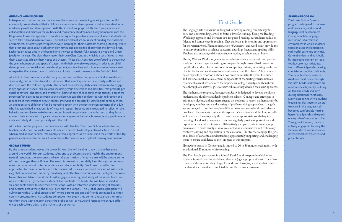#### GUIDANCE AND DISCIPLINE

In keeping with our mission and core values the focus is on developing a caring and respectful community. We understand that a child's social-emotional development is just as important as her academic growth and development. With this in mind, we purposefully teach cooperation and collaboration and maintain the routines and consistency children need. Every homeroom uses the Responsive Classroom approach to create a caring and supportive environment where students feel safe to take risks and make mistakes. The first six weeks of school is spent building the classroom environment. Students gather together every morning for their classroom Morning Meeting, where they greet and learn about each other, play games, and get excited about what the day will bring. Each student takes time in the beginning to the year to thoughtfully generate a Hope and Dream (goal) for the year. The class then creates their own Class Contract, which is a set of rules to help their classmates achieve their Hopes and Dreams. These class contracts are referred to throughout the year in homeroom and specials' classes. With their extensive experience in education, child development, and social emotional development, our teachers and school counselor have a level of expertise that allows them to collaborate closely to meet the needs of the "whole" child.

All adults in the community model our goals, and we use literature, group and individual discus sions, and group activities to address situations that arise. Expectations are clearly outlined and discussed with the children regularly. Our school counselor regularly visits classrooms to engage in age-appropriate social skills lessons, including group discussions and activities, that promote prosocial behaviors. The safety and overall well-being of each child is our highest priority. If teachers sense conflict developing between young children, it can often be deterred with redirection and reminders. If transgressions occur, teachers intervene as necessary by using logical consequences. An uncooperative child can often be moved to action with the gentle encouragement of an adult who has established a relationship of trust and respect. Students are encouraged to reflect on their behavior and resolve to make better choices. Sometimes privileges are withdrawn so they learn to connect their actions with logical consequences. Aggressive behavior, however, is stopped immedi ately and calmly discussed privately with the child.

At the heart of the program is communication with families. The Lower School administrators, teachers, and school counselor work closely with parents to develop a plan of action to assist when remediation is needed. We employ a team approach, as we understand the efforts of faculty, parents, and administrators are all important in the creation of an optimal learning environment.

#### GLOBAL STUDIES

The language arts curriculum is designed to develop reading competency, fluency, and understanding as well as foster a love for reading. Using the Reading Workshop approach and literature sets for guided reading, our students build con fidence and competence in reading. They cultivate an interest in, and appreciation for the written word. Phonics instruction *(Fundations)* and word study provide the necessary foundation to achieve successful decoding, fluency, and spelling skills. Teachers also encourage daily independent reading at school and at home.

By the time a student leaves the Lower School, she will be able to say that she has gone around the world! For our students, solutions to problems around health, the environment, natural resources, the economy, and even the cultivation of creative arts will be among some of the challenges they will face. The world is present in their daily lives through technology, mass media, economic interdependency and global mobility. We know that effective approaches to theses complex and interconnected issues are centered on a set of skills such as global collaboration, empathy, creativity, and effective communication. Each year, between November and March our students will engage in an integrated study of countries from one of six continents. By the time a student has reached Fifth Grade she will have studied all six continents and will leave the Lower School with an informed understanding of families and cultures across the globe as well as within the School. The Global Studies program will culminate with a "Global Studies Fair" where parents and special friends are invited to enjoy country presentations. As students complete their study they come to recognize the similari ties they share with children across the globe as well as value and respect the unique differ ences each culture adds to the richness of our world.

### SPANISH PROGRAM

The Lower School Spanish program is designed to improve oral proficiency and second language skill development. Our approach to language instruction is to create an environment in which students focus on using the language in real-world, authentic activities. Cultural understanding is built by integrating content on local foods, customs, stories, etc., from different Spanish speaking countries across the continents. The same textbook series is used from First Grade through the Fifth Grade, and themes are reinforced each year by building on familiar words and intro ducing additional vocabulary. Every class begins with a student leading her classmates in an oral exercise. In this way, each girl becomes comfortable hearing herself use Spanish and experi encing others' responses to her. Throughout the year, the class actively engages in learning the three modes of communication: interpersonal, interpretive, and presentational.

### First Grade

During Writer's Workshop, students write informatively, narratively, and persua sively as they learn specific writing techniques through personalized instruction. Specifically, students learn how to write compelling reviews, interesting nonfiction chapter books, and vivid narratives about stories from their lives. A final researchbased expository report on a chosen dog breed culminates the year. Grammar and sentence mechanics are critical components of the writing curriculum; our competent, cogent writers learn the importance of logic, clarity, and thoughtful ness through our *Patterns of Power* curriculum as they develop their writing voices.

The mathematics program, *Investigations Math*, is designed to develop confident mathematical thinkers and flexible problem solvers. Concepts and strategies in arithmetic, algebra, and geometry engage the students to reason mathematically by developing number sense and a variety of problem solving approaches. The girls are encouraged to creatively explore different solutions to authentic and relevant problems. The students competently explain their mathematical thinking verbally and in written form to justify their answers using appropriate vocabulary in a meaningful and logical sequence. Teachers regularly provide opportunities and experiences for students to work collaboratively and participate in small group discussions. A wide variety of resources including manipulatives and technology reinforce learning and exploration in the classroom. Our teachers engage the girls at all levels of conceptual understanding, appropriately supporting and challenging them to ensure confidence as they progress in our program.

Homework begins in October and is limited to 20 to 30 minutes each night, with an additional 20 minutes of free reading.

The First Grade participates in a Global Read Aloud Program in which other students from all over the world read the same (age appropriate) book. They then connect with students using Skype, Edmodo and blogging; activities that relate to the shared read-aloud are completed during the six week program.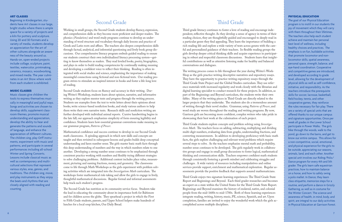### ART CLASSES

Beginning in Kindergarten, students have Art classes in our large, bright studio where there is ample space for a variety of projects and a kiln for pottery and sculpture. Using 2D and 3D formats and a variety of media, students develop an appreciation for the art of other cultures alongside an awareness of the beauty around us. Hands-on, open-ended projects include collage, sculpture, paint, textiles, watercolor, printmaking, ceramics, mosaics, woodworking, and mixed media. The year culminates in an Art Show where work from each student is exhibited.

#### MUSIC CLASSES

Music classes give children the tools to express themselves musically in meaningful and joyful ways. Songs and activities are chosen to develop skills, supplement classroom themes, promote musical understanding and appreciation, develop the ability to hear and generate the patterns and sounds of language, and enhance the appreciation of different cultures. The children sing, play Orff instruments, experiment with music and patterns, and participate in several performances including all-school Winter and Spring Concerts. Lessons include classical music as well as contemporary and multicultural selections that represent various styles, eras, genres, and traditions. The children sing, move, and play instruments as they enjoy the beats and rhythms that are closely aligned with reading and counting.

### Second Grade

Working in small groups, the Second Grade students develop fluency, expression, and comprehension skills as they become more proficient and deeper readers. The phonics *(Fundations)* and word study programs continue to develop an understanding of word structure and vocabulary through daily lessons and practice of Greek and Latin roots and affixes. The teachers also deepen comprehension skills through factual, analytical, and inferential questioning and lively book group discussions. Our comprehensive literacy program embeds guided reading to ensure our students construct their own individualized literacy processing system—getting to know themselves as readers. They read leveled books, poetry, biographies, and plays in order to build reading competencies by continually making meaning and developing a confident voice to reflect their thinking. Reading is often integrated with social studies and science, emphasizing the importance of making meaningful connections using fictional and non-fictional texts. Our reading program strives to stimulate an inspired interest in books and foster a life-long love of reading.

Second Grade students focus on fluency and accuracy in their writing. During Writer's Workshop, students learn about opinion, narrative, and informative writing as they explore mentor texts and progress through the writing process. Students use examples from the text to write letters about their opinions about books, write science-based nonfiction books, and study various authors to help them write their own narrative texts. Research skills and nonfiction writing are further developed with individual animal reports. Cursive handwriting begins in the late fall; our approach emphasizes simplicity of form ensuring legibility and confidence. Students learn how essential grammar conventions make meaning in our grammar program, *Patterns of Power*.

Mathematical confidence and success continue to develop in our Second Grade math classrooms. A spiraling approach in which new skills and concepts are taught and then revisited in subsequent lessons and grades builds deep conceptual understanding and keen number sense. The girls master basic math facts through this deep understanding of numbers and the way in which numbers relate to one another. Developing a strong number sense continues to be emphasized through consistent practice working with numbers and flexibly trying different strategies to solve challenging problems. Additional content includes place value, measurement, picturing and naming fractions, money, and geometry. The classrooms come to life through Math Workshops as the girls experiment with problem solving activities which are integrated into the *Investigations Math* curriculum. The workshops foster mathematical risk-taking and allow the girls to engage in lively, thoughtful mathematical discussions. Regular formal and informal assessments help track each student's progress.

The Second Grade has nutrition as its community service focus. Students take the lead in educating the community about its importance both for Baltimore and for children across the globe. They spearhead a project in which the First to Fifth Grade students, parents, and Upper School helpers make hundreds of lunches for a local soup kitchen, Our Daily Bread.

#### PHYSICAL EDUCATION

The goal of our Physical Education program is to instill in our students the joy of movement which they will carry with them throughout their lifetimes. The teachers also help each student achieve and maintain her personal best level of wellness, including healthy choices and practices. The emphasis is on fun, buildable activities that promote locomotor and nonlocomotor skills, spatial awareness, personal space, strength, balance, and eye-hand coordination. Cooperative and competitive games are introduced, and developed according to grade level, allowing for the development of physical skills as well as self-confidence, initiative, and responsibility. As the teachers introduce the prerequisite skills for soccer, lacrosse, basketball, field hockey, tennis, and other cooperative games, they reinforce the rules necessary for fair play. There are a variety of special units that are offered thanks to our unique campus and signature opportunities. Once per week all grades in the Lower School participate in Power Walks. The girls hike through the woods, walk to the pond, go down to the barns, and get to know our entire campus. This allows for a non-competitive, social, emotional, and physical experience for the girls to be outside, appreciating our seasons, animals, land, and each other. Another special unit involves our Riding/Polo/ Dance program for every 4th and 5th grader. The girls learn safe equestrian practices, how to maintain balance on a horse, and how to safely swing a polo mallet. In Dance, they learn class etiquette, memorize steps for a routine, and perform a dance in Grizzly Gathering, as well as in costume for the Winter Concert. The science and awareness of health, in mind, body, and spirit, are integral to our daily activities in Physical Education at Garrison Forest.

# Third Grade

Third grade literacy continues to foster a love of reading and encourage independent, reflective thought. As they develop a sense of agency in terms of their reading choices, they are thoughtfully guided and encouraged to deeply read in a particular genre they find appealing. They learn the importance of building a rich reading life and explore a wide variety of texts across genres with the careful and personalized guidance of their teachers. In flexible reading groups the girls develop deeper critical thinking skills and acquire experience in participating in robust and respectful classroom discussions. Students learn that insightful contributions as well as attentive listening make for healthy and balanced conversations and dialogues.

The writing process comes to life throughout the year during Writer's Work-Shop as the girls practice writing descriptive narratives and expository essays. They have the opportunity to practice writing expository essays through the Third Grade State Project and the Global Studies curriculum. They use reference materials with increased regularity and work closely with the librarian and digital learning specialist to conduct research for these projects. In addition, as part of the Beginnings and Beyond curriculum, the students write their own fables. Many of the writing pieces in Third Grade are directly related to the larger projects that they undertake. The students also do a tremendous amount of writing through their novel studies. Grammar, using *Patterns of Power*, and word study are woven throughout the reading and writing programs. By now, Garrison girls are becoming more confident, complex writers who take pride in showcasing their best work at the culmination of each project.

Third Grade students explore concepts and problem solving using *Investigations Math*. The teachers focus on adding, subtracting, multiplying and dividing multi-digit numbers, evaluating data from graphs, understanding fractions, and converting measurements. In addition to developing proficiency with basic math facts, the girls explore challenging and relevant word problems which require several steps to solve. As the teachers emphasize mental math and probability, number sense continues to be developed. The girls regularly work in collaborative groups and engage in small group discussions to foster logical, mathematical thinking and communication skills. Teachers empower confident math students through consistently fostering a growth mindset and celebrating struggles and challenges. A wide variety of resources including manipulatives and online services provide support, enrichment and mathematical exploration. Regular assessments provide the positive feedback that supports assured mathematicians.

Third Grade enjoys two signature learning experiences: The Third Grade State Report and Beginnings and Beyond. Each third grader researches and becomes an expert on a state within the United States for the Third Grade State Report. Beginnings and Beyond examines the history of enslaved, native, and colonial people from the mid-1600s to mid-1700s. Both of these learning experiences integrate reading, writing, history, music, PE, science, Spanish, and art. Upon completion, families are invited to enjoy the wonderful work which the girls accomplished across multiple disciplines.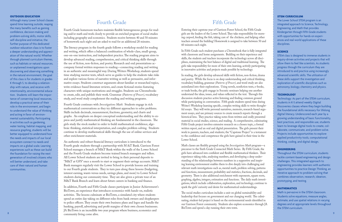### STEM CURRICULUM

The Lower School STEM program is an integrated approach to Science, Technology, Engineering, and Math that provides Kindergarten through Fifth Grade students with opportunities for hands-on experiences and real-world applications of these disciplines.

### **SCIENCE**

STEM class is designed to immerse students in inquiry-driven activities and projects that will allow them to feel like scientists. As students progress through the curriculum they are introduced to and practice using increasingly advanced scientific skills. The utilization of these skills support the investigation and exploration of scientific disciplines such as astronomy, biology, chemistry and physics.

### **TECHNOLOGY**

Technology: As part of the STEM curriculum, students in K-5 attend weekly Digital Discoveries classes where they begin building the foundational skills necessary for lifelong digital literacy. Underscored each year by a growing understanding of basic functionality, best practices, and responsible use, students learn to leverage digital tools to create, collaborate, communicate, and problem-solve. Projects include opportunities to explore applied productivity tools, computational thinking, coding, and digital design.

### ENGINEERING

Throughout the STEM curriculum, students tackle content-based engineering and design challenges. This integrated approach to engineering provides learners with authentic opportunities to practice Design Thinking, an iterative approach to problem-solving that combines observation, research, ideation, prototyping, and testing.

#### MATHEMATICS

Math is pervasive in the STEM classroom. Students solve equations, measure angles, estimate, and use spatial relations in varying degrees and at appropriate levels throughout the STEM curriculum.

#### OUTDOOR EDUCATION

Although many Lower School classes spend time learning outside, reaping the many benefits such as gaining confidence, decision-making and problem-solving skills, motor skills, self-discipline and initiative, the further purpose of this dedicated outdoor education class is to foster a deeper understanding and appreciation of the natural world. Whether through planned curriculum themes, such as habitats or natural resources, or unplanned investigations upon discovering and observing something in the natural environment, the goal of this class is for students in grades K through 5, to develop a relationship with nature, and receive with intentionality, environmental education. Students will learn the importance of conserving local resources, develop a practical sense of their role in the environment, and begin to understand the value of thinking and acting in favor of environmental sustainability. Participating in activities such as gardening, water testing, habitat mapping, and resource graphing, students will be better equipped to understand how the needs and impacts of our local ecosystem connect to needs and impacts on a global scale. Learning experiences such as these can build the foundation for raising the next generation of involved citizens who will better understand, and take care of their natural and human communities.

# Fourth Grade

 $\frac{1}{2}$  community living come alive In addition, Fourth and Fifth Grade classes participate in Junior Achievement's BizTown, an experience that introduces economics with hands-on, realistic activities. The lessons culminate at BizTown, a simulated city where students spend an entire day taking on different roles from bank owners and shopkeepers to police officers. They create their own business plans and logos and handle the banking, payroll, advertising and profit margins of their own chosen businesses. JA BizTown is an incredible two year program where business, economics and community living come alive.

Fourth Grade homeroom teachers maintain flexible heterogeneous groups for reading and/or math and work closely to provide an enriched program of social studies including geography and economics. Students receive between 40 and 50 minutes of homework each night and are asked to read for an additional 20 minutes.

The literacy program in the fourth grade follows a workshop model for reading and writing, which offers a balanced combination of whole-class, small-group, one-on-one instruction, and independent practice. The reading program aims to develop advanced reading, comprehension, and critical thinking skills through the use of fiction, non-fiction, and poetry. Research and oral presentations accompany formal written responses to reading—connecting reading and writing in an authentic and meaningful way. During Writers Workshop, students spend time studying mentor texts, which serve as guides to help the students take risks and explore various forms of narrative writing as well as persuasive, and informative essays. Students construct arguments about familiar or researched topics, write evidence-based literature reviews, and create fictional stories featuring characters with unique motivations and struggles. Students use Chromebooks to create, edit, and publish their work. Grammar *(Patterns of Power)*, vocabulary study, and word study complement the reading and writing programs.

Fourth Grade continues with *Investigations Math*. Students engage in rich mathematical conversations as they try different approaches to solve problems. Skills include decimals, measurement, fractions, geometry, and charts and graphs. An emphasis on deeper conceptual understanding and the ability to express and justify mathematical thinking are fundamental in the classroom. The girls study the stock market in order to build mathematical confidence, algebraic thinking, statistical interpretation, and complex problem solving. Students continue to develop mathematical skills through the use of online services and other enrichment materials.

An authentic and robust financial literacy curriculum is introduced to the Fourth grade students through a partnership with M &T Bank. Garrison Forest School manages a branch of M&T Bank within the walls of the Lower School and the Fourth Grade students become trained branch managers and tellers. All Lower School students are invited to bring in their personal deposits to "M&T at GFS" once a month to start or augment their savings accounts. M&T Bank managers regularly visit the Lower School to provide lessons and training to our Fourth grade students. They in turn pass along these lessons (budgeting, interest earning, wants versus needs, savings plans, and more) to Lower School students during our community time. They are also given a private tour of an M&T Bank Branch and learn about future careers in banking and finance.

# Fifth Grade

Entering their capstone year of Garrison Forest School, the Fifth Grade girls are the leaders of the Lower School. They take responsibility for morning carpool, feeding the fish, taking care of the chickens, and helping other teachers around the building! Homework is assigned to take between 50 and 60 minutes each night.

In Fifth Grade each student purchases a Chromebook that is fully integrated with classroom and home assignments. Building on their experience and skills, the students and teachers incorporate the technology across all disciplines, maintaining the best balance of digital and traditional learning. The girls take responsibility for more of their own learning, actively participating in innovative activities and projects made possible by technology.

In reading, the girls develop advanced skills with fiction, non-fiction, drama and poetry. While the focus is on deep understanding and critical thinking, vocabulary building, grammar *(Patterns of Power)*, and word study are also assimilated into their explorations. Using novels, nonfiction texts, e-books, or trade books, the girls engage in Socratic seminars helping one another understand the ideas, issues, and values reflected in the text. Through this discussion students practice active listening and finding common ground while participating in conversation. Fifth grade students spend time during Writer's Workshop learning specific, complex writing skills to write thoughtful essays. They will write personal narratives, memoirs, research-based argument essays, and use primary sources to create research reports through a historical lens. They practice taking notes from written and orally presented material in social studies, science, and reading. A comprehensive, culminating Fifth Grade project involves extensive research on a chosen topic, a formal written report, and an oral and digital presentation. The girls present their work to parents, teachers, and students; the "Capstone Project" is a testament to the confidence and competence the girls have gained in their time in the Lower School.

Math classes are flexibly grouped using the *Investigations Math* program—a precursor to the Sixth Grade Connected Math Series. By Fifth Grade, the girls have advanced into confident and flexible mathematical thinkers. Their experience taking risks, analyzing numbers, and developing a deep understanding of the relationships between numbers in a supportive and inspiring learning environment enables them to dive deeply into challenging and relevant math investigations such as, mental math, problem solving, patterns and functions, measurement, probability and statistics, fractions, decimals, and geometry. There is also additional enrichment with exponents, square roots, graphing, algebra, integers, estimation and functions. The daily math investigations, which include collaboration, exploration, and technology, continue to spark the girls' curiosity and desire for mathematical understandings.

The social studies curriculum includes a unit on global sustainability and leadership that focuses on government and our changing world. The culminating, student-led project is based on the environmental needs identified in our Garrison Forest community. Students also explore economics through JA BizTown and spend a day running their own town.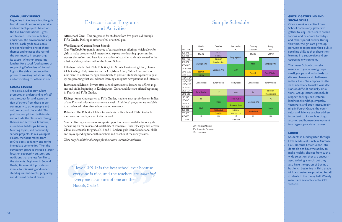### COMMUNITY SERVICE

Beginning in Kindergarten, the girls lead different community service and outreach projects based on the five United Nations Rights of Children – shelter, nutrition, education, the environment, and health. Each grade takes on a project related to one of these themes and engages the rest of the community in supporting its cause. Whether preparing lunches for a local food pantry, or supporting Defenders of Animal Rights, the girls experience the power of working collaboratively and advocating for others in need.

#### SOCIAL STUDIES

The Social Studies curriculum promotes an understanding of self and a respect for and appreciation of others from those in our community to other people and cultures around the world. This goal is accomplished both inside and outside the classroom through themes and activities, literature, assemblies, field trips, Morning Meeting topics, and community service projects. In our youngest classes, the focus moves from self, to peers, to family, and to the immediate community. Then the curriculum grows to include a larger focus on geography, cultures, and traditions that are less familiar to the students. Beginning in Second Grade, *Time for Kids* provides an avenue for discussing and understanding current events, geography, and different cultural mores.

## Extracurricular Programs and Activities

**Afterschool Care:** This program is for students from five-years-old through Fifth Grade. Pick-up is either at 5:00 or at 6:00 p.m.

### **Woodlands at Garrison Forest School:**

Our *Woodlands* Program is an array of extracurricular offerings which allow for girls to make broader social interactions, explore new learning opportunities, express themselves, and have fun in a variety of activities and clubs rooted in the mission, vision, and warmth of the Lower School.

Offerings include: Art Club, Robotics, Girl Scouts, Engineering Club, Drama Club, Coding Club, Grizzlies on the Go, Music Club, Nature Club and more. Our menu of options changes periodically to give our students exposure to quality programming that will advance learning and ignite new passions and interests!

**Instrumental Music:** Private after-school instrumental lessons are offered in piano and violin beginning in Kindergarten. Guitar and flute are offered beginning in Fourth and Fifth Grades.

**Riding:** From Kindergarten to Fifth Grades, students may opt for lessons in lieu of one Physical Education class once a week. Additional programs are available to experienced riders after school and on weekends.

**Robotics:** The Robotics Club is for students in Fourth and Fifth Grades. It meets one to two days a week after school.

**Sports:** During various seasons, sports opportunities are available for our girls depending on the season and availability of resources. Field Hockey and Lacrosse Clnics are available for grades K-2 and 3-5, where girls learn foundational skills and enjoy spending time with members and coaches of the varsity teams.

*There may be additional charges for these extra-curricular activities.*

### Sample Schedule

### GRIZZLY GATHERING AND SOCIAL SKILLS

Once a week our entire Lower School community gathers together to sing, learn, share presentations, and celebrate birthdays and other special events. During this time, the girls are given opportunities to practice their public speaking skills as they share their learning in a supportive and encouraging environment.

The Lower School counselor meets with grade level groups, small groups, and individuals to discuss changes and challenges in their lives. She emphasizes the skills necessary to make wise decisions in difficult and risky situations. Group lessons can include respect, feelings, self-esteem, kindness, friendship, empathy, teamwork, and body image. Beginning in Fourth Grade, the counselor and Science teacher address important topics such as drugs, alcohol, and human development in an age-appropriate manner.

### LUNCH

Students in Kindergarten through Fifth Grades eat lunch in Alumnae Hall. Because Lower School students do not have the ability to make healthy choices from such a wide selection, they are encouraged to bring a lunch; but they also have the option of buying a hot lunch beginning in Third grade. Milk and water are provided for all students In the dining hall. Weekly menus are available on the GFS website.

MM = Morning Meeting RC = Responsive Classroom HR = Homeroom

|               | Monday                              | Tuesday           | Wednesday             | Thursday          | Friday                |
|---------------|-------------------------------------|-------------------|-----------------------|-------------------|-----------------------|
| $8:00 - 8:25$ | <b>MM</b>                           | <b>RC</b>         | <b>RC</b>             | Late Start        | <b>MM</b>             |
| 8:25-8:45     | MM/RC                               | Art $(A)$         | Language Arts         | MM/RC             | MM/RC                 |
| 8:25-9:05     |                                     | Music (B)         |                       |                   |                       |
| $9:10 - 9:30$ | Language Arts<br>Spanish<br>Library | Science/          |                       | Math              | Language Arts         |
| 9:30-9:50     |                                     | Imagineering      |                       |                   |                       |
| 9:55-10:15    |                                     | Language Arts     | Math                  |                   |                       |
| 10:15-10:35   |                                     |                   |                       |                   |                       |
| 10:40-11:00   |                                     |                   |                       | <b>Spanish</b>    | <b>Social Studies</b> |
| 11:00-11:20   |                                     |                   |                       |                   |                       |
| 11:25-11:45   | Lunch/Recess                        | Lunch/Recess      | Lunch/Recess          | Lunch/Recess      | Lunch/Recess          |
| 11:45-12:05   |                                     |                   |                       |                   |                       |
| 12:05-12:10   |                                     |                   |                       |                   |                       |
| 12:10-12:20   |                                     |                   |                       |                   |                       |
| 12:20 -12:40  | <b>Social Studies</b>               | PE                | <b>Music</b>          | Art               | Science/              |
| 12:40-1:00    |                                     |                   |                       |                   | Imagineering          |
| $1:05 - 1:25$ | PE                                  | <b>Math</b>       | <b>Social Studies</b> | Language Arts     | PE                    |
| 1:25-1:45     |                                     |                   |                       |                   |                       |
| 1:50-2:10     | Math                                |                   | Show and Share        |                   | Math                  |
| 2:10-2:30     |                                     |                   |                       |                   |                       |
| 2:35-2:55     |                                     | <b>Read Aloud</b> | Science/              | <b>Read Aloud</b> |                       |
| 2:55-3:15     |                                     | <b>Spanish</b>    | Imagineering          |                   |                       |
| $3:15 - 3:25$ | <b>HR</b>                           | <b>HR</b>         | <b>HR</b>             | <b>HR</b>         | <b>HR</b>             |
| 3:25          | <b>DISMISSAL</b>                    |                   |                       |                   |                       |

"I love GFS. It is the best school ever because everyone is nice, and the teachers are *amazing*! Everyone takes care of one another." Hannah, Grade 3